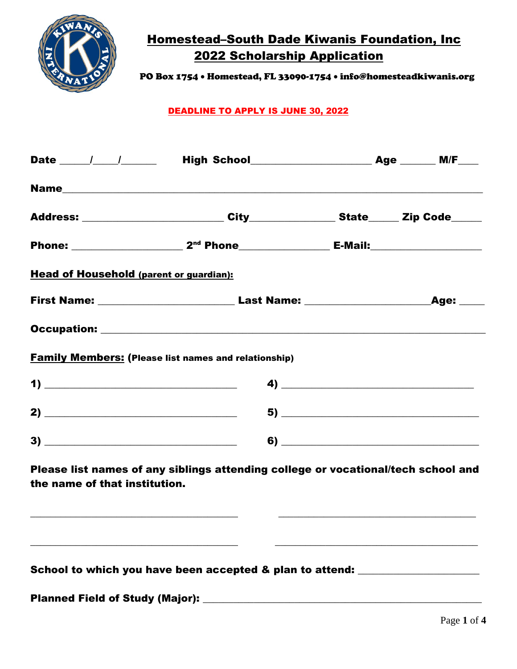

PO Box 1754 • Homestead, FL 33090-1754 • info@homesteadkiwanis.org

### DEADLINE TO APPLY IS JUNE 30, 2022

| Date $\frac{1}{\sqrt{1-\frac{1}{2}}}$          |                                                                                   |                                                                                                                                                                                                                                                                                                                                                                                      |  |  |
|------------------------------------------------|-----------------------------------------------------------------------------------|--------------------------------------------------------------------------------------------------------------------------------------------------------------------------------------------------------------------------------------------------------------------------------------------------------------------------------------------------------------------------------------|--|--|
|                                                |                                                                                   |                                                                                                                                                                                                                                                                                                                                                                                      |  |  |
|                                                |                                                                                   |                                                                                                                                                                                                                                                                                                                                                                                      |  |  |
|                                                |                                                                                   |                                                                                                                                                                                                                                                                                                                                                                                      |  |  |
| <b>Head of Household (parent or guardian):</b> |                                                                                   |                                                                                                                                                                                                                                                                                                                                                                                      |  |  |
|                                                |                                                                                   |                                                                                                                                                                                                                                                                                                                                                                                      |  |  |
|                                                |                                                                                   |                                                                                                                                                                                                                                                                                                                                                                                      |  |  |
|                                                | <b>Family Members: (Please list names and relationship)</b>                       |                                                                                                                                                                                                                                                                                                                                                                                      |  |  |
| $\mathbf{1) \perp$                             |                                                                                   | $\overline{a}$ $\overline{a}$ $\overline{a}$ $\overline{a}$ $\overline{a}$ $\overline{a}$ $\overline{a}$ $\overline{a}$ $\overline{a}$ $\overline{a}$ $\overline{a}$ $\overline{a}$ $\overline{a}$ $\overline{a}$ $\overline{a}$ $\overline{a}$ $\overline{a}$ $\overline{a}$ $\overline{a}$ $\overline{a}$ $\overline{a}$ $\overline{a}$ $\overline{a}$ $\overline{a}$ $\overline{$ |  |  |
|                                                |                                                                                   |                                                                                                                                                                                                                                                                                                                                                                                      |  |  |
|                                                |                                                                                   | $\bullet) \qquad \qquad \overbrace{\qquad \qquad }$                                                                                                                                                                                                                                                                                                                                  |  |  |
| the name of that institution.                  | Please list names of any siblings attending college or vocational/tech school and |                                                                                                                                                                                                                                                                                                                                                                                      |  |  |

School to which you have been accepted & plan to attend: \_\_\_\_\_\_\_\_\_\_\_\_\_\_\_\_\_\_\_\_\_\_\_

\_\_\_\_\_\_\_\_\_\_\_\_\_\_\_\_\_\_\_\_\_\_\_\_\_\_\_\_\_\_\_\_\_\_\_\_\_\_\_\_\_ \_\_\_\_\_\_\_\_\_\_\_\_\_\_\_\_\_\_\_\_\_\_\_\_\_\_\_\_\_\_\_\_\_\_\_\_\_\_\_\_

Planned Field of Study (Major): \_\_\_\_\_\_\_\_\_\_\_\_\_\_\_\_\_\_\_\_\_\_\_\_\_\_\_\_\_\_\_\_\_\_\_\_\_\_\_\_\_\_\_\_\_\_\_\_\_\_\_\_\_\_\_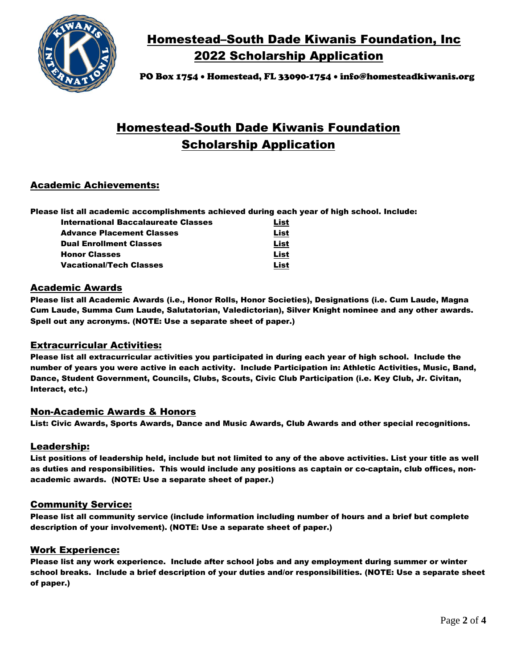

PO Box 1754 • Homestead, FL 33090-1754 • info@homesteadkiwanis.org

# Homestead-South Dade Kiwanis Foundation Scholarship Application

### Academic Achievements:

Please list all academic accomplishments achieved during each year of high school. Include:

| International Baccalaureate Classes | List |
|-------------------------------------|------|
| <b>Advance Placement Classes</b>    | List |
| <b>Dual Enrollment Classes</b>      | List |
| <b>Honor Classes</b>                | List |
| <b>Vacational/Tech Classes</b>      | List |

#### Academic Awards

Please list all Academic Awards (i.e., Honor Rolls, Honor Societies), Designations (i.e. Cum Laude, Magna Cum Laude, Summa Cum Laude, Salutatorian, Valedictorian), Silver Knight nominee and any other awards. Spell out any acronyms. (NOTE: Use a separate sheet of paper.)

#### Extracurricular Activities:

Please list all extracurricular activities you participated in during each year of high school. Include the number of years you were active in each activity. Include Participation in: Athletic Activities, Music, Band, Dance, Student Government, Councils, Clubs, Scouts, Civic Club Participation (i.e. Key Club, Jr. Civitan, Interact, etc.)

#### Non-Academic Awards & Honors

List: Civic Awards, Sports Awards, Dance and Music Awards, Club Awards and other special recognitions.

#### Leadership:

List positions of leadership held, include but not limited to any of the above activities. List your title as well as duties and responsibilities. This would include any positions as captain or co-captain, club offices, nonacademic awards. (NOTE: Use a separate sheet of paper.)

#### Community Service:

Please list all community service (include information including number of hours and a brief but complete description of your involvement). (NOTE: Use a separate sheet of paper.)

#### Work Experience:

Please list any work experience. Include after school jobs and any employment during summer or winter school breaks. Include a brief description of your duties and/or responsibilities. (NOTE: Use a separate sheet of paper.)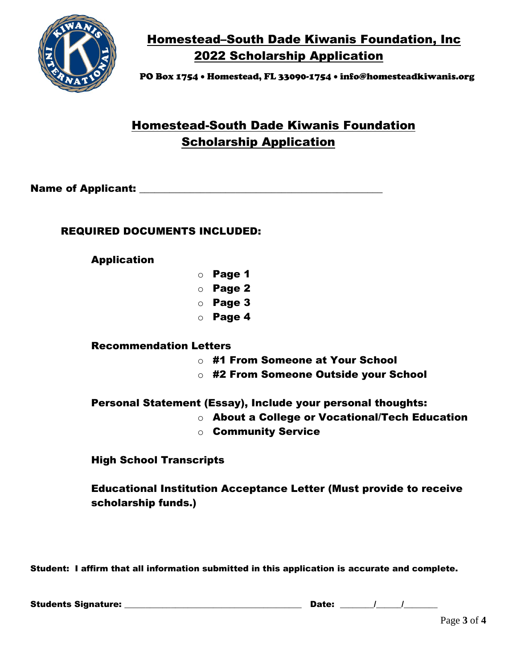

PO Box 1754 • Homestead, FL 33090-1754 • info@homesteadkiwanis.org

# Homestead-South Dade Kiwanis Foundation Scholarship Application

Name of Applicant: with the state of  $\mathsf{Application}$ :

### REQUIRED DOCUMENTS INCLUDED:

### Application

- o Page 1
- o Page 2
- o Page 3
- o Page 4

### Recommendation Letters

- o #1 From Someone at Your School
- o #2 From Someone Outside your School

### Personal Statement (Essay), Include your personal thoughts:

- o About a College or Vocational/Tech Education
- o Community Service

High School Transcripts

Educational Institution Acceptance Letter (Must provide to receive scholarship funds.)

Student: I affirm that all information submitted in this application is accurate and complete.

Students Signature: \_\_\_\_\_\_\_\_\_\_\_\_\_\_\_\_\_\_\_\_\_\_\_\_\_\_\_\_\_\_\_\_\_\_\_\_\_\_\_\_\_\_ Date: \_\_\_\_\_\_\_\_/\_\_\_\_\_\_/\_\_\_\_\_\_\_\_